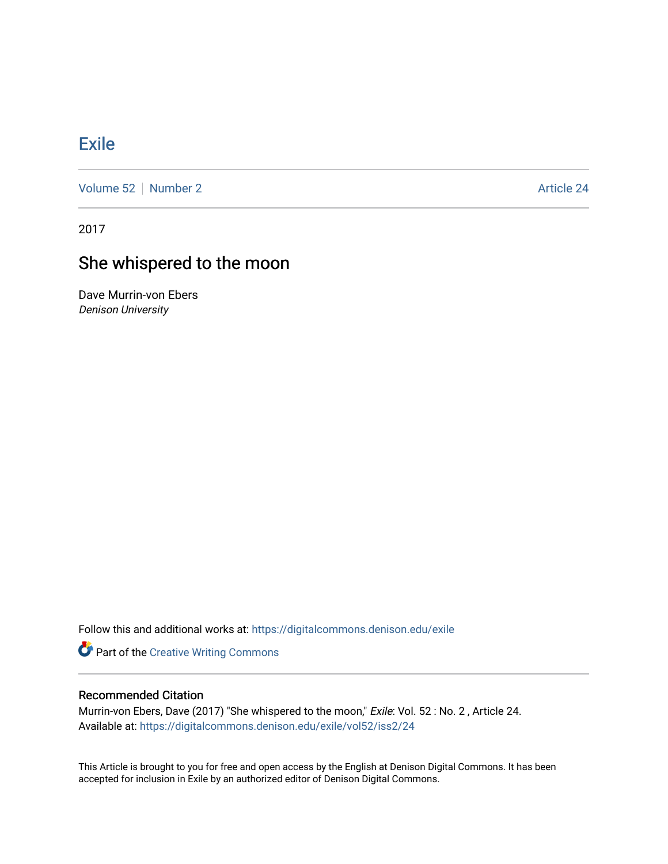## [Exile](https://digitalcommons.denison.edu/exile)

[Volume 52](https://digitalcommons.denison.edu/exile/vol52) [Number 2](https://digitalcommons.denison.edu/exile/vol52/iss2) Article 24

2017

# She whispered to the moon

Dave Murrin-von Ebers Denison University

Follow this and additional works at: [https://digitalcommons.denison.edu/exile](https://digitalcommons.denison.edu/exile?utm_source=digitalcommons.denison.edu%2Fexile%2Fvol52%2Fiss2%2F24&utm_medium=PDF&utm_campaign=PDFCoverPages) 

**Part of the Creative Writing Commons** 

### Recommended Citation

Murrin-von Ebers, Dave (2017) "She whispered to the moon," Exile: Vol. 52: No. 2, Article 24. Available at: [https://digitalcommons.denison.edu/exile/vol52/iss2/24](https://digitalcommons.denison.edu/exile/vol52/iss2/24?utm_source=digitalcommons.denison.edu%2Fexile%2Fvol52%2Fiss2%2F24&utm_medium=PDF&utm_campaign=PDFCoverPages)

This Article is brought to you for free and open access by the English at Denison Digital Commons. It has been accepted for inclusion in Exile by an authorized editor of Denison Digital Commons.